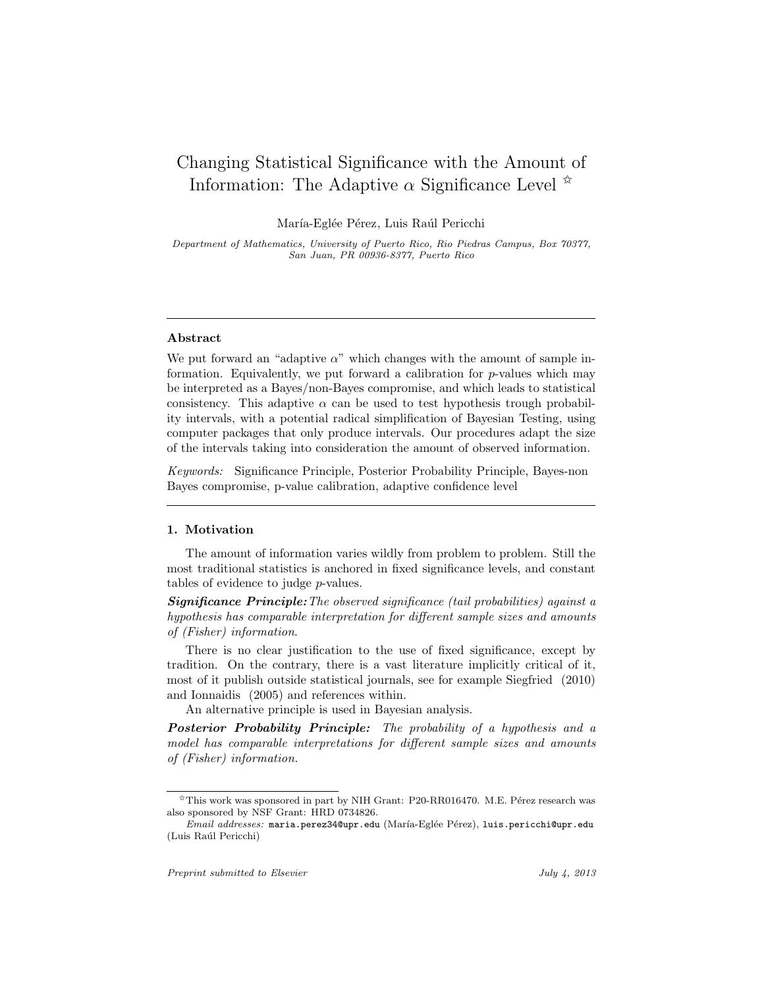# Changing Statistical Significance with the Amount of Information: The Adaptive  $\alpha$  Significance Level  $\alpha$

María-Eglée Pérez, Luis Raúl Pericchi

Department of Mathematics, University of Puerto Rico, Rio Piedras Campus, Box 70377, San Juan, PR 00936-8377, Puerto Rico

#### Abstract

We put forward an "adaptive  $\alpha$ " which changes with the amount of sample information. Equivalently, we put forward a calibration for  $p$ -values which may be interpreted as a Bayes/non-Bayes compromise, and which leads to statistical consistency. This adaptive  $\alpha$  can be used to test hypothesis trough probability intervals, with a potential radical simplification of Bayesian Testing, using computer packages that only produce intervals. Our procedures adapt the size of the intervals taking into consideration the amount of observed information.

Keywords: Significance Principle, Posterior Probability Principle, Bayes-non Bayes compromise, p-value calibration, adaptive confidence level

#### 1. Motivation

The amount of information varies wildly from problem to problem. Still the most traditional statistics is anchored in fixed significance levels, and constant tables of evidence to judge p-values.

**Significance Principle:** The observed significance (tail probabilities) against a hypothesis has comparable interpretation for different sample sizes and amounts of (Fisher) information.

There is no clear justification to the use of fixed significance, except by tradition. On the contrary, there is a vast literature implicitly critical of it, most of it publish outside statistical journals, see for example Siegfried (2010) and Ionnaidis (2005) and references within.

An alternative principle is used in Bayesian analysis.

Posterior Probability Principle: The probability of a hypothesis and a model has comparable interpretations for different sample sizes and amounts of (Fisher) information.

 $\overline{X}$ This work was sponsored in part by NIH Grant: P20-RR016470. M.E. Pérez research was also sponsored by NSF Grant: HRD 0734826.

Email addresses: maria.perez34@upr.edu (María-Eglée Pérez), luis.pericchi@upr.edu (Luis Ra´ul Pericchi)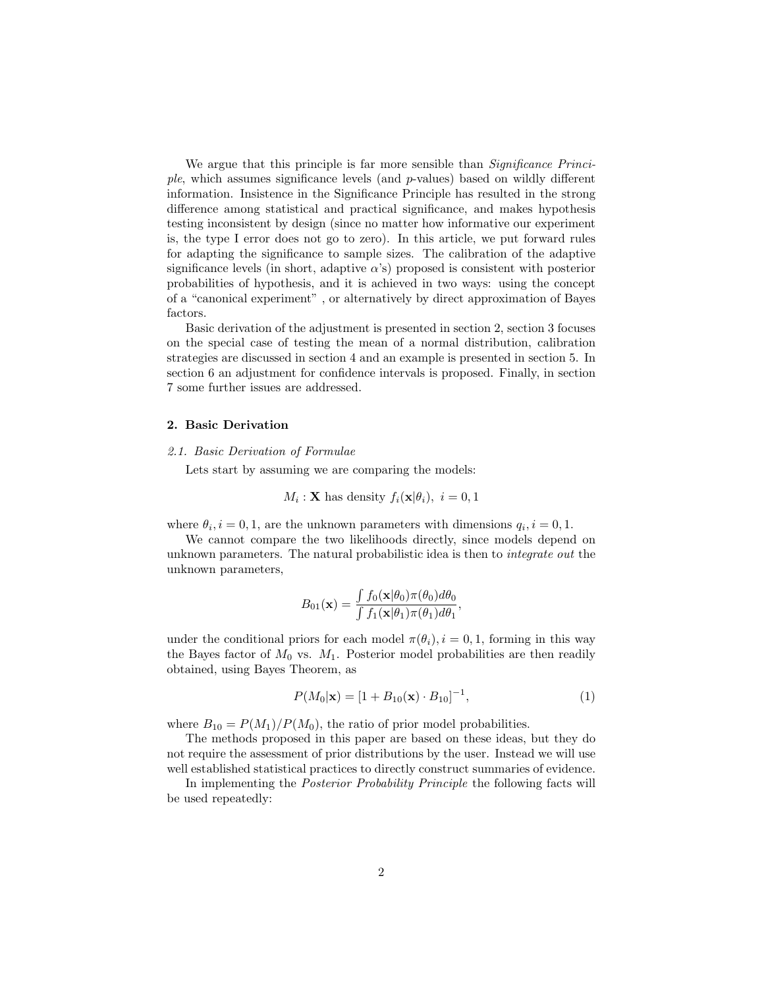We argue that this principle is far more sensible than *Significance Princi*ple, which assumes significance levels (and p-values) based on wildly different information. Insistence in the Significance Principle has resulted in the strong difference among statistical and practical significance, and makes hypothesis testing inconsistent by design (since no matter how informative our experiment is, the type I error does not go to zero). In this article, we put forward rules for adapting the significance to sample sizes. The calibration of the adaptive significance levels (in short, adaptive  $\alpha$ 's) proposed is consistent with posterior probabilities of hypothesis, and it is achieved in two ways: using the concept of a "canonical experiment" , or alternatively by direct approximation of Bayes factors.

Basic derivation of the adjustment is presented in section 2, section 3 focuses on the special case of testing the mean of a normal distribution, calibration strategies are discussed in section 4 and an example is presented in section 5. In section 6 an adjustment for confidence intervals is proposed. Finally, in section 7 some further issues are addressed.

# 2. Basic Derivation

# 2.1. Basic Derivation of Formulae

Lets start by assuming we are comparing the models:

$$
M_i: \mathbf{X}
$$
 has density  $f_i(\mathbf{x}|\theta_i)$ ,  $i = 0, 1$ 

where  $\theta_i$ ,  $i = 0, 1$ , are the unknown parameters with dimensions  $q_i$ ,  $i = 0, 1$ .

We cannot compare the two likelihoods directly, since models depend on unknown parameters. The natural probabilistic idea is then to integrate out the unknown parameters,

$$
B_{01}(\mathbf{x}) = \frac{\int f_0(\mathbf{x}|\theta_0)\pi(\theta_0)d\theta_0}{\int f_1(\mathbf{x}|\theta_1)\pi(\theta_1)d\theta_1}
$$

under the conditional priors for each model  $\pi(\theta_i)$ ,  $i = 0, 1$ , forming in this way the Bayes factor of  $M_0$  vs.  $M_1$ . Posterior model probabilities are then readily obtained, using Bayes Theorem, as

$$
P(M_0|\mathbf{x}) = [1 + B_{10}(\mathbf{x}) \cdot B_{10}]^{-1}, \tag{1}
$$

,

where  $B_{10} = P(M_1)/P(M_0)$ , the ratio of prior model probabilities.

The methods proposed in this paper are based on these ideas, but they do not require the assessment of prior distributions by the user. Instead we will use well established statistical practices to directly construct summaries of evidence.

In implementing the Posterior Probability Principle the following facts will be used repeatedly: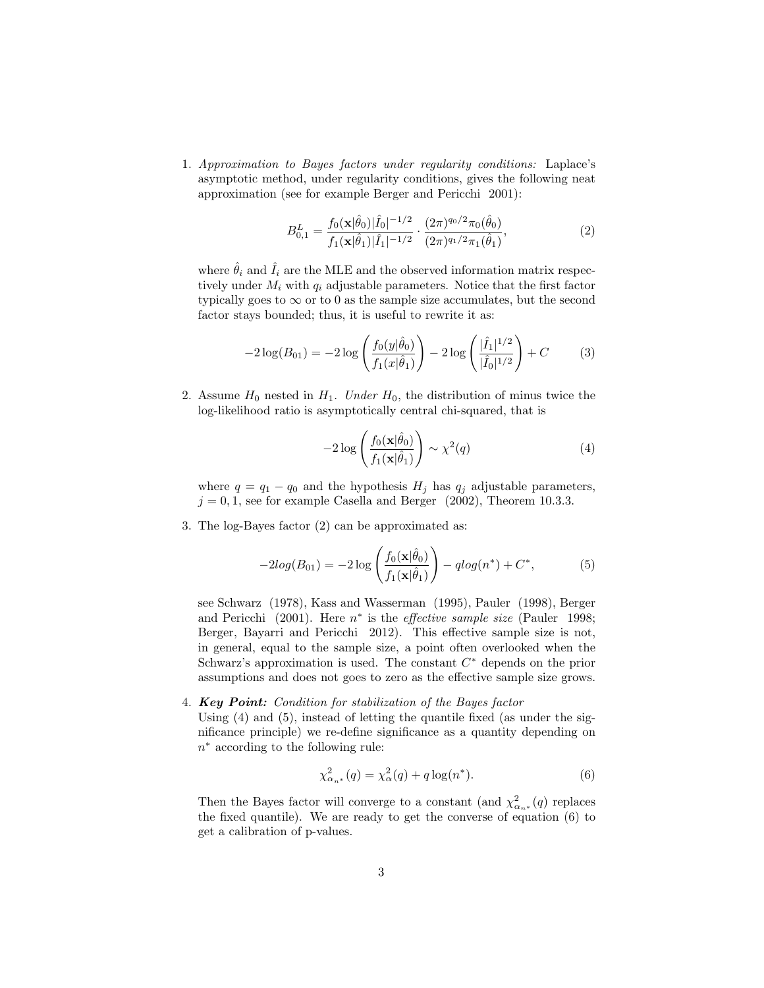1. Approximation to Bayes factors under regularity conditions: Laplace's asymptotic method, under regularity conditions, gives the following neat approximation (see for example Berger and Pericchi 2001):

$$
B_{0,1}^{L} = \frac{f_0(\mathbf{x}|\hat{\theta}_0)|\hat{I}_0|^{-1/2}}{f_1(\mathbf{x}|\hat{\theta}_1)|\hat{I}_1|^{-1/2}} \cdot \frac{(2\pi)^{q_0/2}\pi_0(\hat{\theta}_0)}{(2\pi)^{q_1/2}\pi_1(\hat{\theta}_1)},
$$
(2)

where  $\hat{\theta}_i$  and  $\hat{I}_i$  are the MLE and the observed information matrix respectively under  $M_i$  with  $q_i$  adjustable parameters. Notice that the first factor typically goes to  $\infty$  or to 0 as the sample size accumulates, but the second factor stays bounded; thus, it is useful to rewrite it as:

$$
-2\log(B_{01}) = -2\log\left(\frac{f_0(y|\hat{\theta}_0)}{f_1(x|\hat{\theta}_1)}\right) - 2\log\left(\frac{|\hat{I}_1|^{1/2}}{|\hat{I}_0|^{1/2}}\right) + C\tag{3}
$$

2. Assume  $H_0$  nested in  $H_1$ . Under  $H_0$ , the distribution of minus twice the log-likelihood ratio is asymptotically central chi-squared, that is

$$
-2\log\left(\frac{f_0(\mathbf{x}|\hat{\theta}_0)}{f_1(\mathbf{x}|\hat{\theta}_1)}\right) \sim \chi^2(q) \tag{4}
$$

where  $q = q_1 - q_0$  and the hypothesis  $H_j$  has  $q_j$  adjustable parameters,  $j = 0, 1$ , see for example Casella and Berger (2002), Theorem 10.3.3.

3. The log-Bayes factor (2) can be approximated as:

$$
-2log(B_{01}) = -2log\left(\frac{f_0(\mathbf{x}|\hat{\theta}_0)}{f_1(\mathbf{x}|\hat{\theta}_1)}\right) - qlog(n^*) + C^*,
$$
 (5)

see Schwarz (1978), Kass and Wasserman (1995), Pauler (1998), Berger and Pericchi (2001). Here  $n^*$  is the *effective sample size* (Pauler 1998; Berger, Bayarri and Pericchi 2012). This effective sample size is not, in general, equal to the sample size, a point often overlooked when the Schwarz's approximation is used. The constant  $C^*$  depends on the prior assumptions and does not goes to zero as the effective sample size grows.

4. Key Point: Condition for stabilization of the Bayes factor

Using  $(4)$  and  $(5)$ , instead of letting the quantile fixed (as under the significance principle) we re-define significance as a quantity depending on  $n^*$  according to the following rule:

$$
\chi^2_{\alpha_n*}(q) = \chi^2_{\alpha}(q) + q \log(n^*).
$$
 (6)

Then the Bayes factor will converge to a constant (and  $\chi^2_{\alpha_{n^*}}(q)$  replaces the fixed quantile). We are ready to get the converse of equation (6) to get a calibration of p-values.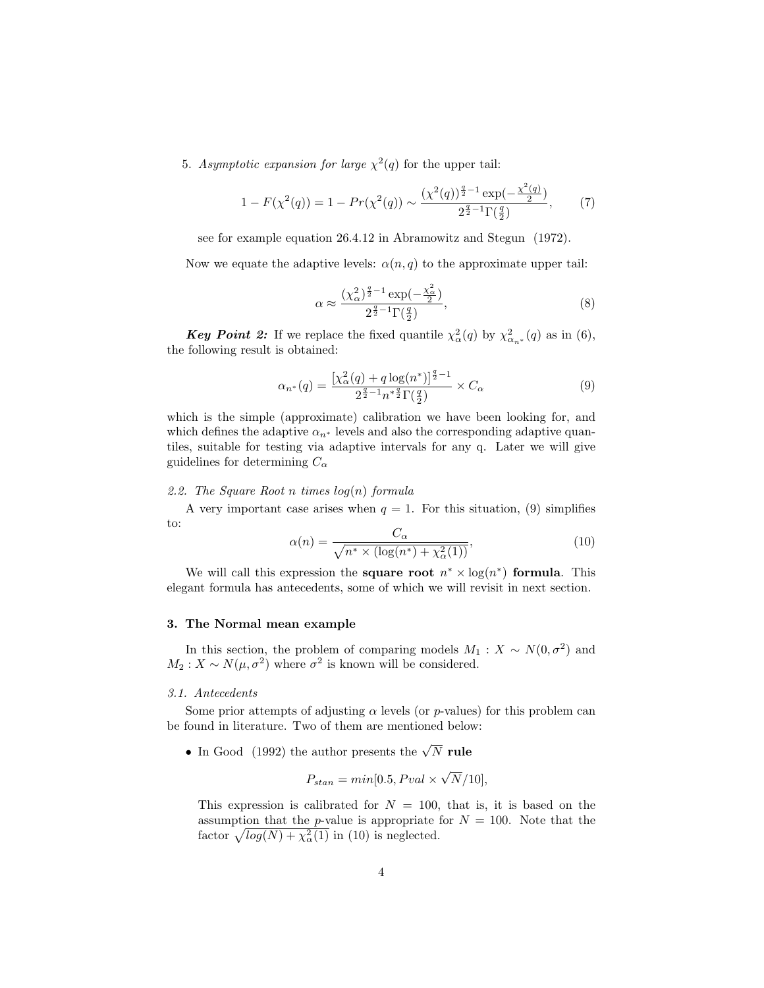5. Asymptotic expansion for large  $\chi^2(q)$  for the upper tail:

$$
1 - F(\chi^2(q)) = 1 - Pr(\chi^2(q)) \sim \frac{(\chi^2(q))^{\frac{q}{2}-1} \exp(-\frac{\chi^2(q)}{2})}{2^{\frac{q}{2}-1} \Gamma(\frac{q}{2})},\tag{7}
$$

see for example equation 26.4.12 in Abramowitz and Stegun (1972).

Now we equate the adaptive levels:  $\alpha(n,q)$  to the approximate upper tail:

$$
\alpha \approx \frac{\left(\chi_{\alpha}^2\right)^{\frac{q}{2}-1} \exp\left(-\frac{\chi_{\alpha}^2}{2}\right)}{2^{\frac{q}{2}-1} \Gamma\left(\frac{q}{2}\right)},\tag{8}
$$

**Key Point 2:** If we replace the fixed quantile  $\chi^2_{\alpha}(q)$  by  $\chi^2_{\alpha_n*}(q)$  as in (6), the following result is obtained:

$$
\alpha_{n^*}(q) = \frac{\left[\chi_\alpha^2(q) + q \log(n^*)\right]^{\frac{q}{2}-1}}{2^{\frac{q}{2}-1} n^{*\frac{q}{2}} \Gamma(\frac{q}{2})} \times C_\alpha \tag{9}
$$

which is the simple (approximate) calibration we have been looking for, and which defines the adaptive  $\alpha_{n^*}$  levels and also the corresponding adaptive quantiles, suitable for testing via adaptive intervals for any q. Later we will give guidelines for determining  $C_{\alpha}$ 

# 2.2. The Square Root n times  $log(n)$  formula

A very important case arises when  $q = 1$ . For this situation, (9) simplifies to:

$$
\alpha(n) = \frac{C_{\alpha}}{\sqrt{n^* \times (\log(n^*) + \chi^2_{\alpha}(1))}},\tag{10}
$$

We will call this expression the **square root**  $n^* \times \log(n^*)$  formula. This elegant formula has antecedents, some of which we will revisit in next section.

# 3. The Normal mean example

In this section, the problem of comparing models  $M_1: X \sim N(0, \sigma^2)$  and  $M_2: X \sim N(\mu, \sigma^2)$  where  $\sigma^2$  is known will be considered.

# 3.1. Antecedents

Some prior attempts of adjusting  $\alpha$  levels (or p-values) for this problem can be found in literature. Two of them are mentioned below:

• In Good (1992) the author presents the  $\sqrt{N}$  rule

$$
P_{stan} = min[0.5, Pval \times \sqrt{N}/10],
$$

This expression is calibrated for  $N = 100$ , that is, it is based on the assumption that the *p*-value is appropriate for  $N = 100$ . Note that the factor  $\sqrt{log(N) + \chi_{\alpha}^2(1)}$  in (10) is neglected.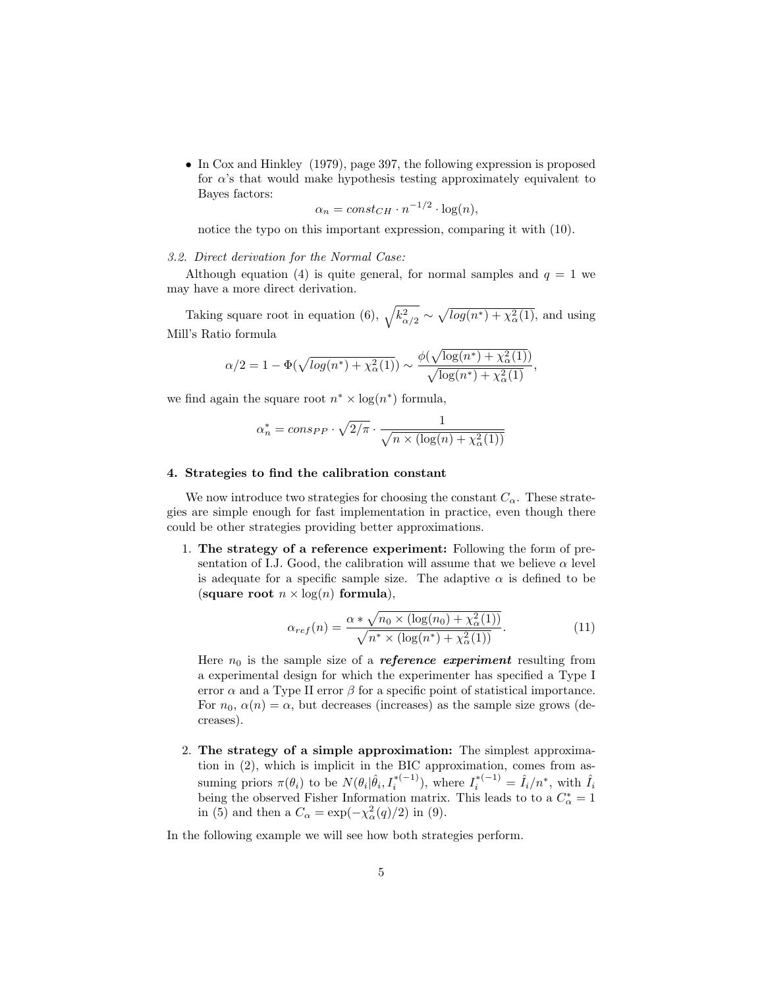• In Cox and Hinkley (1979), page 397, the following expression is proposed for  $\alpha$ 's that would make hypothesis testing approximately equivalent to Bayes factors:

$$
\alpha_n = const_{CH} \cdot n^{-1/2} \cdot \log(n),
$$

notice the typo on this important expression, comparing it with (10).

# 3.2. Direct derivation for the Normal Case:

Although equation (4) is quite general, for normal samples and  $q = 1$  we may have a more direct derivation.

Taking square root in equation (6),  $\sqrt{k_{\alpha/2}^2} \sim \sqrt{\log(n^*) + \chi_\alpha^2(1)}$ , and using Mill's Ratio formula

$$
\alpha/2 = 1 - \Phi(\sqrt{\log(n^*) + \chi^2_{\alpha}(1)}) \sim \frac{\phi(\sqrt{\log(n^*) + \chi^2_{\alpha}(1)})}{\sqrt{\log(n^*) + \chi^2_{\alpha}(1)}},
$$

we find again the square root  $n^* \times \log(n^*)$  formula,

$$
\alpha_n^* = cons_{PP} \cdot \sqrt{2/\pi} \cdot \frac{1}{\sqrt{n \times (\log(n) + \chi^2_{\alpha}(1))}}
$$

#### 4. Strategies to find the calibration constant

We now introduce two strategies for choosing the constant  $C_{\alpha}$ . These strategies are simple enough for fast implementation in practice, even though there could be other strategies providing better approximations.

1. The strategy of a reference experiment: Following the form of presentation of I.J. Good, the calibration will assume that we believe  $\alpha$  level is adequate for a specific sample size. The adaptive  $\alpha$  is defined to be (square root  $n \times \log(n)$  formula),

$$
\alpha_{ref}(n) = \frac{\alpha * \sqrt{n_0 \times (\log(n_0) + \chi_\alpha^2(1))}}{\sqrt{n^* \times (\log(n^*) + \chi_\alpha^2(1))}}.
$$
(11)

Here  $n_0$  is the sample size of a **reference experiment** resulting from a experimental design for which the experimenter has specified a Type I error  $\alpha$  and a Type II error  $\beta$  for a specific point of statistical importance. For  $n_0$ ,  $\alpha(n) = \alpha$ , but decreases (increases) as the sample size grows (decreases).

2. The strategy of a simple approximation: The simplest approximation in (2), which is implicit in the BIC approximation, comes from assuming priors  $\pi(\theta_i)$  to be  $N(\theta_i|\hat{\theta}_i, I_i^{*(-1)})$ , where  $I_i^{*(-1)} = \hat{I}_i/n^*$ , with  $\hat{I}_i$ being the observed Fisher Information matrix. This leads to to a  $C_\alpha^*=1$ in (5) and then a  $C_{\alpha} = \exp(-\chi_{\alpha}^2(q)/2)$  in (9).

In the following example we will see how both strategies perform.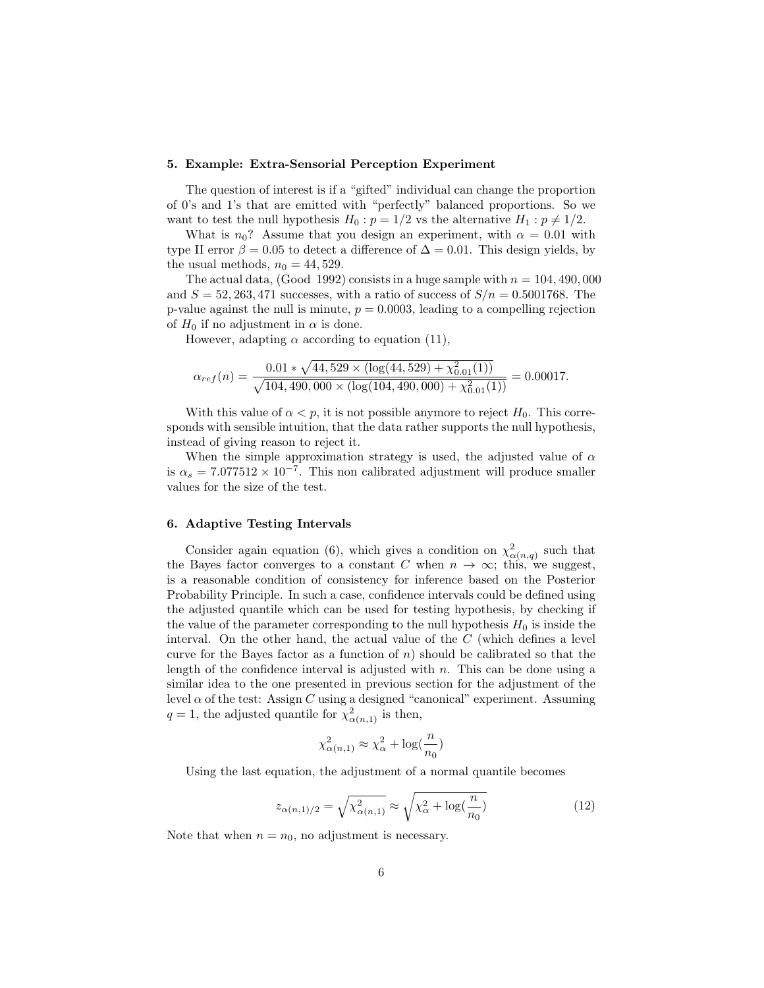#### 5. Example: Extra-Sensorial Perception Experiment

The question of interest is if a "gifted" individual can change the proportion of 0's and 1's that are emitted with "perfectly" balanced proportions. So we want to test the null hypothesis  $H_0$ :  $p = 1/2$  vs the alternative  $H_1$ :  $p \neq 1/2$ .

What is  $n_0$ ? Assume that you design an experiment, with  $\alpha = 0.01$  with type II error  $\beta = 0.05$  to detect a difference of  $\Delta = 0.01$ . This design yields, by the usual methods,  $n_0 = 44,529$ .

The actual data, (Good 1992) consists in a huge sample with  $n = 104, 490, 000$ and  $S = 52, 263, 471$  successes, with a ratio of success of  $S/n = 0.5001768$ . The p-value against the null is minute,  $p = 0.0003$ , leading to a compelling rejection of  $H_0$  if no adjustment in  $\alpha$  is done.

However, adapting  $\alpha$  according to equation (11),

$$
\alpha_{ref}(n) = \frac{0.01 * \sqrt{44,529 \times (\log(44,529) + \chi_{0.01}^2(1))}}{\sqrt{104,490,000 \times (\log(104,490,000) + \chi_{0.01}^2(1))}} = 0.00017.
$$

With this value of  $\alpha < p$ , it is not possible anymore to reject  $H_0$ . This corresponds with sensible intuition, that the data rather supports the null hypothesis, instead of giving reason to reject it.

When the simple approximation strategy is used, the adjusted value of  $\alpha$ is  $\alpha_s = 7.077512 \times 10^{-7}$ . This non calibrated adjustment will produce smaller values for the size of the test.

# 6. Adaptive Testing Intervals

Consider again equation (6), which gives a condition on  $\chi^2_{\alpha(n,q)}$  such that the Bayes factor converges to a constant C when  $n \to \infty$ ; this, we suggest, is a reasonable condition of consistency for inference based on the Posterior Probability Principle. In such a case, confidence intervals could be defined using the adjusted quantile which can be used for testing hypothesis, by checking if the value of the parameter corresponding to the null hypothesis  $H_0$  is inside the interval. On the other hand, the actual value of the C (which defines a level curve for the Bayes factor as a function of  $n$ ) should be calibrated so that the length of the confidence interval is adjusted with  $n$ . This can be done using a similar idea to the one presented in previous section for the adjustment of the level  $\alpha$  of the test: Assign C using a designed "canonical" experiment. Assuming  $q = 1$ , the adjusted quantile for  $\chi^2_{\alpha(n,1)}$  is then,

$$
\chi_{\alpha(n,1)}^2 \approx \chi_{\alpha}^2 + \log(\frac{n}{n_0})
$$

Using the last equation, the adjustment of a normal quantile becomes

$$
z_{\alpha(n,1)/2} = \sqrt{\chi^2_{\alpha(n,1)}} \approx \sqrt{\chi^2_{\alpha} + \log(\frac{n}{n_0})}
$$
\n(12)

Note that when  $n = n_0$ , no adjustment is necessary.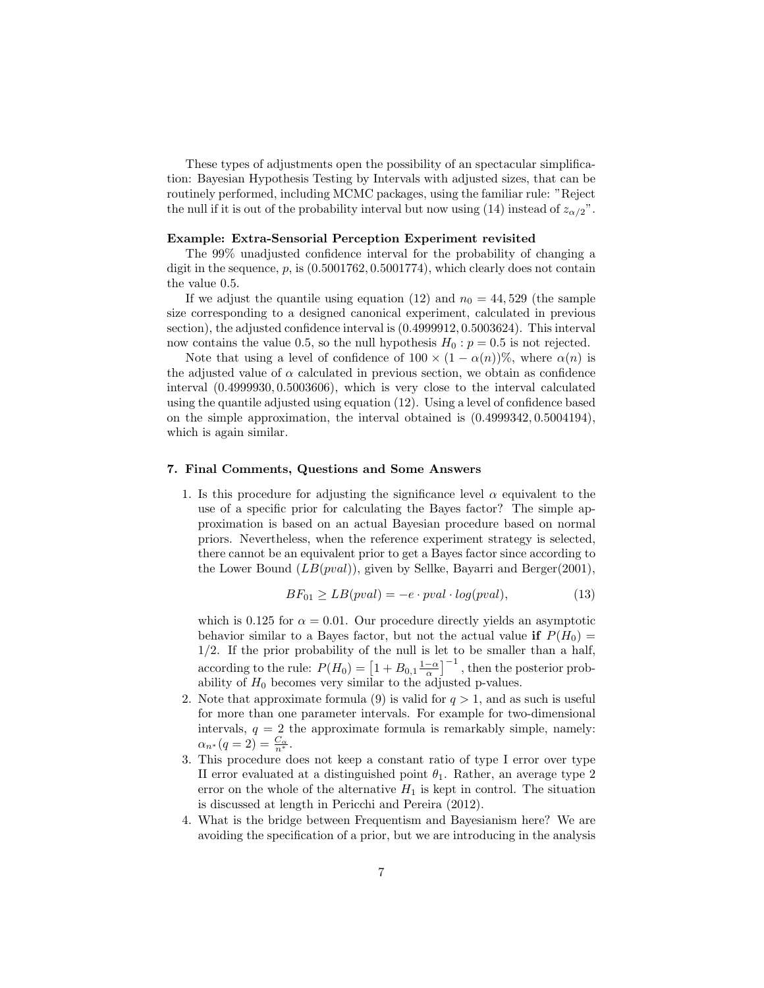These types of adjustments open the possibility of an spectacular simplification: Bayesian Hypothesis Testing by Intervals with adjusted sizes, that can be routinely performed, including MCMC packages, using the familiar rule: "Reject the null if it is out of the probability interval but now using (14) instead of  $z_{\alpha/2}$ ".

# Example: Extra-Sensorial Perception Experiment revisited

The 99% unadjusted confidence interval for the probability of changing a digit in the sequence,  $p$ , is  $(0.5001762, 0.5001774)$ , which clearly does not contain the value 0.5.

If we adjust the quantile using equation (12) and  $n_0 = 44,529$  (the sample size corresponding to a designed canonical experiment, calculated in previous section), the adjusted confidence interval is (0.4999912, 0.5003624). This interval now contains the value 0.5, so the null hypothesis  $H_0: p = 0.5$  is not rejected.

Note that using a level of confidence of  $100 \times (1 - \alpha(n))\%$ , where  $\alpha(n)$  is the adjusted value of  $\alpha$  calculated in previous section, we obtain as confidence interval (0.4999930, 0.5003606), which is very close to the interval calculated using the quantile adjusted using equation (12). Using a level of confidence based on the simple approximation, the interval obtained is (0.4999342, 0.5004194), which is again similar.

## 7. Final Comments, Questions and Some Answers

1. Is this procedure for adjusting the significance level  $\alpha$  equivalent to the use of a specific prior for calculating the Bayes factor? The simple approximation is based on an actual Bayesian procedure based on normal priors. Nevertheless, when the reference experiment strategy is selected, there cannot be an equivalent prior to get a Bayes factor since according to the Lower Bound  $(LB(pval))$ , given by Sellke, Bayarri and Berger(2001),

$$
BF_{01} \ge LB(pval) = -e \cdot pval \cdot log(pval), \tag{13}
$$

which is 0.125 for  $\alpha = 0.01$ . Our procedure directly yields an asymptotic behavior similar to a Bayes factor, but not the actual value if  $P(H_0)$  = 1/2. If the prior probability of the null is let to be smaller than a half, according to the rule:  $P(H_0) = \left[1 + B_{0,1} \frac{1-\alpha}{\alpha}\right]^{-1}$ , then the posterior probability of  $H_0$  becomes very similar to the adjusted p-values.

- 2. Note that approximate formula (9) is valid for  $q > 1$ , and as such is useful for more than one parameter intervals. For example for two-dimensional intervals,  $q = 2$  the approximate formula is remarkably simple, namely:  $\alpha_{n^*}(q=2) = \frac{C_{\alpha}}{n^*}.$
- 3. This procedure does not keep a constant ratio of type I error over type II error evaluated at a distinguished point  $\theta_1$ . Rather, an average type 2 error on the whole of the alternative  $H_1$  is kept in control. The situation is discussed at length in Pericchi and Pereira (2012).
- 4. What is the bridge between Frequentism and Bayesianism here? We are avoiding the specification of a prior, but we are introducing in the analysis